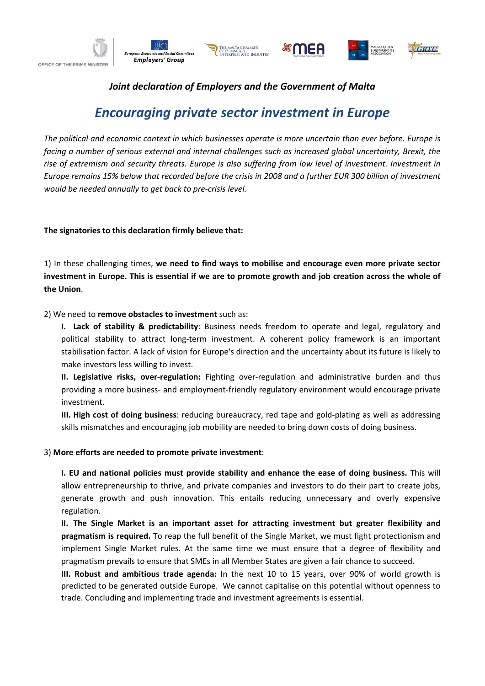









## *Joint declaration of Employers and the Government of Malta*

# *Encouraging private sector investment in Europe*

*The political and economic context in which businesses operate is more uncertain than ever before. Europe is facing a number of serious external and internal challenges such as increased global uncertainty, Brexit, the rise of extremism and security threats. Europe is also suffering from low level of investment. Investment in Europe remains 15% below that recorded before the crisis in 2008 and a further EUR 300 billion of investment would be needed annually to get back to pre-crisis level.* 

### **The signatories to this declaration firmly believe that:**

1) In these challenging times, **we need to find ways to mobilise and encourage even more private sector investment in Europe. This is essential if we are to promote growth and job creation across the whole of the Union**.

### 2) We need to **remove obstacles to investment** such as:

**I. Lack of stability & predictability**: Business needs freedom to operate and legal, regulatory and political stability to attract long-term investment. A coherent policy framework is an important stabilisation factor. A lack of vision for Europe's direction and the uncertainty about its future is likely to make investors less willing to invest.

**II. Legislative risks, over-regulation:** Fighting over-regulation and administrative burden and thus providing a more business- and employment-friendly regulatory environment would encourage private investment.

**III. High cost of doing business**: reducing bureaucracy, red tape and gold-plating as well as addressing skills mismatches and encouraging job mobility are needed to bring down costs of doing business.

#### 3) **More efforts are needed to promote private investment**:

**I. EU and national policies must provide stability and enhance the ease of doing business.** This will allow entrepreneurship to thrive, and private companies and investors to do their part to create jobs, generate growth and push innovation. This entails reducing unnecessary and overly expensive regulation.

**II. The Single Market is an important asset for attracting investment but greater flexibility and pragmatism is required.** To reap the full benefit of the Single Market, we must fight protectionism and implement Single Market rules. At the same time we must ensure that a degree of flexibility and pragmatism prevails to ensure that SMEs in all Member States are given a fair chance to succeed.

**III. Robust and ambitious trade agenda:** In the next 10 to 15 years, over 90% of world growth is predicted to be generated outside Europe. We cannot capitalise on this potential without openness to trade. Concluding and implementing trade and investment agreements is essential.